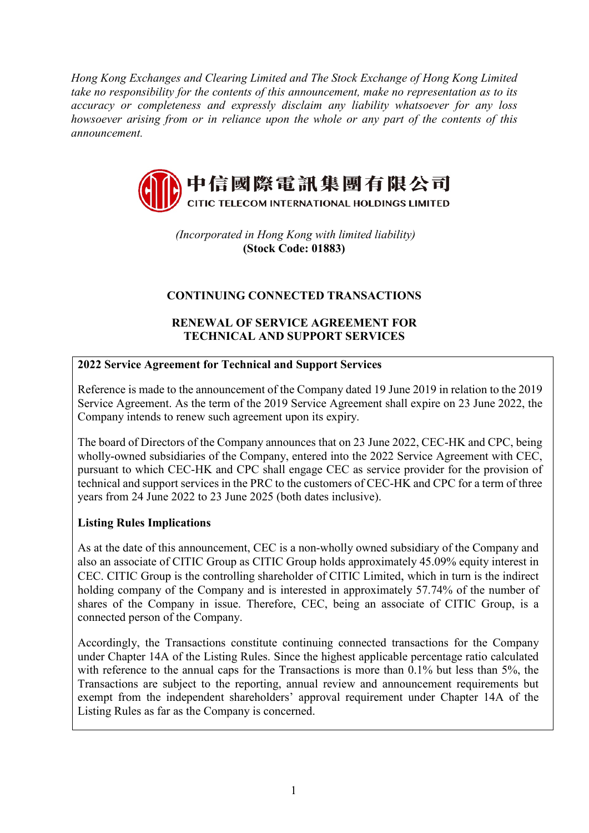*Hong Kong Exchanges and Clearing Limited and The Stock Exchange of Hong Kong Limited take no responsibility for the contents of this announcement, make no representation as to its accuracy or completeness and expressly disclaim any liability whatsoever for any loss howsoever arising from or in reliance upon the whole or any part of the contents of this announcement.*



*(Incorporated in Hong Kong with limited liability)* **(Stock Code: 01883)**

# **CONTINUING CONNECTED TRANSACTIONS**

## **RENEWAL OF SERVICE AGREEMENT FOR TECHNICAL AND SUPPORT SERVICES**

# **2022 Service Agreement for Technical and Support Services**

Reference is made to the announcement of the Company dated 19 June 2019 in relation to the 2019 Service Agreement. As the term of the 2019 Service Agreement shall expire on 23 June 2022, the Company intends to renew such agreement upon its expiry.

The board of Directors of the Company announces that on 23 June 2022, CEC-HK and CPC, being wholly-owned subsidiaries of the Company, entered into the 2022 Service Agreement with CEC, pursuant to which CEC-HK and CPC shall engage CEC as service provider for the provision of technical and support services in the PRC to the customers of CEC-HK and CPC for a term of three years from 24 June 2022 to 23 June 2025 (both dates inclusive).

## **Listing Rules Implications**

As at the date of this announcement, CEC is a non-wholly owned subsidiary of the Company and also an associate of CITIC Group as CITIC Group holds approximately 45.09% equity interest in CEC. CITIC Group is the controlling shareholder of CITIC Limited, which in turn is the indirect holding company of the Company and is interested in approximately 57.74% of the number of shares of the Company in issue. Therefore, CEC, being an associate of CITIC Group, is a connected person of the Company.

Accordingly, the Transactions constitute continuing connected transactions for the Company under Chapter 14A of the Listing Rules. Since the highest applicable percentage ratio calculated with reference to the annual caps for the Transactions is more than 0.1% but less than 5%, the Transactions are subject to the reporting, annual review and announcement requirements but exempt from the independent shareholders' approval requirement under Chapter 14A of the Listing Rules as far as the Company is concerned.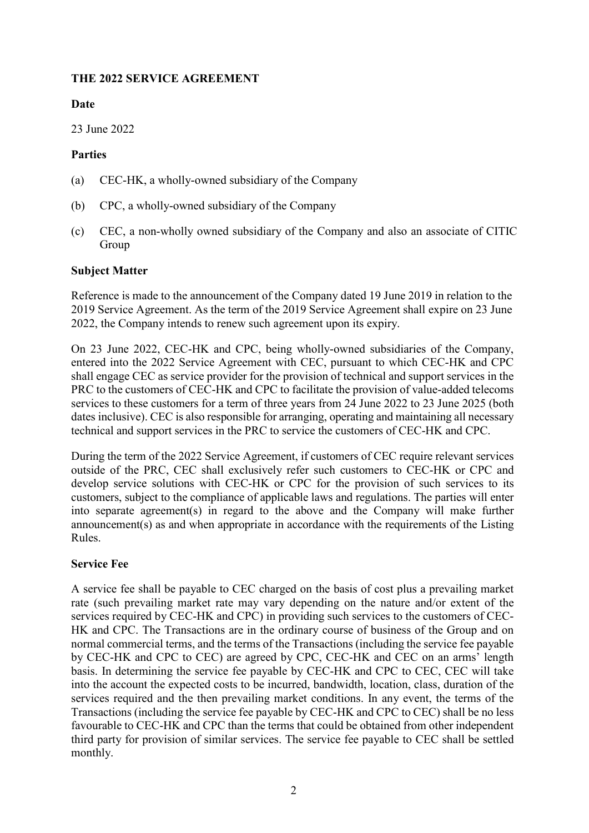## **THE 2022 SERVICE AGREEMENT**

## **Date**

23 June 2022

### **Parties**

- (a) CEC-HK, a wholly-owned subsidiary of the Company
- (b) CPC, a wholly-owned subsidiary of the Company
- (c) CEC, a non-wholly owned subsidiary of the Company and also an associate of CITIC Group

## **Subject Matter**

Reference is made to the announcement of the Company dated 19 June 2019 in relation to the 2019 Service Agreement. As the term of the 2019 Service Agreement shall expire on 23 June 2022, the Company intends to renew such agreement upon its expiry.

On 23 June 2022, CEC-HK and CPC, being wholly-owned subsidiaries of the Company, entered into the 2022 Service Agreement with CEC, pursuant to which CEC-HK and CPC shall engage CEC as service provider for the provision of technical and support services in the PRC to the customers of CEC-HK and CPC to facilitate the provision of value-added telecoms services to these customers for a term of three years from 24 June 2022 to 23 June 2025 (both dates inclusive). CEC is also responsible for arranging, operating and maintaining all necessary technical and support services in the PRC to service the customers of CEC-HK and CPC.

During the term of the 2022 Service Agreement, if customers of CEC require relevant services outside of the PRC, CEC shall exclusively refer such customers to CEC-HK or CPC and develop service solutions with CEC-HK or CPC for the provision of such services to its customers, subject to the compliance of applicable laws and regulations. The parties will enter into separate agreement(s) in regard to the above and the Company will make further announcement(s) as and when appropriate in accordance with the requirements of the Listing Rules.

## **Service Fee**

A service fee shall be payable to CEC charged on the basis of cost plus a prevailing market rate (such prevailing market rate may vary depending on the nature and/or extent of the services required by CEC-HK and CPC) in providing such services to the customers of CEC-HK and CPC. The Transactions are in the ordinary course of business of the Group and on normal commercial terms, and the terms of the Transactions (including the service fee payable by CEC-HK and CPC to CEC) are agreed by CPC, CEC-HK and CEC on an arms' length basis. In determining the service fee payable by CEC-HK and CPC to CEC, CEC will take into the account the expected costs to be incurred, bandwidth, location, class, duration of the services required and the then prevailing market conditions. In any event, the terms of the Transactions (including the service fee payable by CEC-HK and CPC to CEC) shall be no less favourable to CEC-HK and CPC than the terms that could be obtained from other independent third party for provision of similar services. The service fee payable to CEC shall be settled monthly.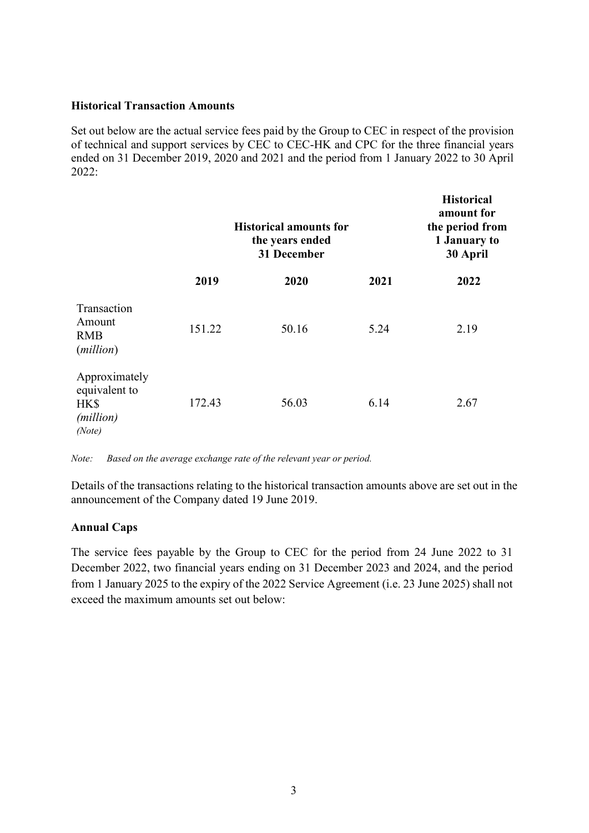#### **Historical Transaction Amounts**

Set out below are the actual service fees paid by the Group to CEC in respect of the provision of technical and support services by CEC to CEC-HK and CPC for the three financial years ended on 31 December 2019, 2020 and 2021 and the period from 1 January 2022 to 30 April 2022:

|                                                                        | <b>Historical amounts for</b><br>the years ended<br>31 December |       |      | <b>Historical</b><br>amount for<br>the period from<br>1 January to<br>30 April |
|------------------------------------------------------------------------|-----------------------------------------------------------------|-------|------|--------------------------------------------------------------------------------|
|                                                                        | 2019                                                            | 2020  | 2021 | 2022                                                                           |
| Transaction<br>Amount<br><b>RMB</b><br>( <i>million</i> )              | 151.22                                                          | 50.16 | 5.24 | 2.19                                                                           |
| Approximately<br>equivalent to<br>HK\$<br>( <i>million</i> )<br>(Note) | 172.43                                                          | 56.03 | 6.14 | 2.67                                                                           |

*Note: Based on the average exchange rate of the relevant year or period.*

Details of the transactions relating to the historical transaction amounts above are set out in the announcement of the Company dated 19 June 2019.

#### **Annual Caps**

The service fees payable by the Group to CEC for the period from 24 June 2022 to 31 December 2022, two financial years ending on 31 December 2023 and 2024, and the period from 1 January 2025 to the expiry of the 2022 Service Agreement (i.e. 23 June 2025) shall not exceed the maximum amounts set out below: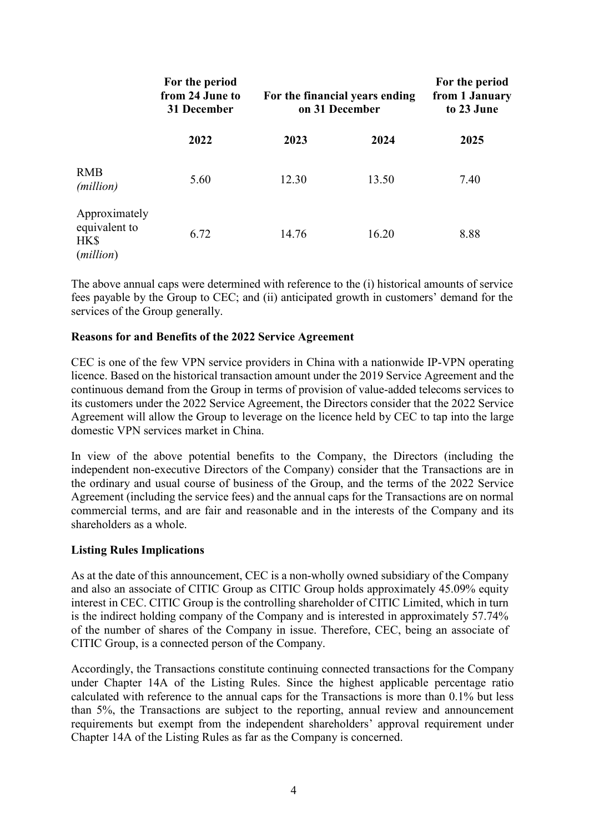|                                                              | For the period<br>from 24 June to<br>31 December<br>2022 | For the financial years ending<br>on 31 December |       | For the period<br>from 1 January<br>to 23 June |
|--------------------------------------------------------------|----------------------------------------------------------|--------------------------------------------------|-------|------------------------------------------------|
|                                                              |                                                          | 2023                                             | 2024  | 2025                                           |
| <b>RMB</b><br>( <i>million</i> )                             | 5.60                                                     | 12.30                                            | 13.50 | 7.40                                           |
| Approximately<br>equivalent to<br>HK\$<br>( <i>million</i> ) | 6.72                                                     | 14.76                                            | 16.20 | 8.88                                           |

The above annual caps were determined with reference to the (i) historical amounts of service fees payable by the Group to CEC; and (ii) anticipated growth in customers' demand for the services of the Group generally.

#### **Reasons for and Benefits of the 2022 Service Agreement**

CEC is one of the few VPN service providers in China with a nationwide IP-VPN operating licence. Based on the historical transaction amount under the 2019 Service Agreement and the continuous demand from the Group in terms of provision of value-added telecoms services to its customers under the 2022 Service Agreement, the Directors consider that the 2022 Service Agreement will allow the Group to leverage on the licence held by CEC to tap into the large domestic VPN services market in China.

In view of the above potential benefits to the Company, the Directors (including the independent non-executive Directors of the Company) consider that the Transactions are in the ordinary and usual course of business of the Group, and the terms of the 2022 Service Agreement (including the service fees) and the annual caps for the Transactions are on normal commercial terms, and are fair and reasonable and in the interests of the Company and its shareholders as a whole.

#### **Listing Rules Implications**

As at the date of this announcement, CEC is a non-wholly owned subsidiary of the Company and also an associate of CITIC Group as CITIC Group holds approximately 45.09% equity interest in CEC. CITIC Group is the controlling shareholder of CITIC Limited, which in turn is the indirect holding company of the Company and is interested in approximately 57.74% of the number of shares of the Company in issue. Therefore, CEC, being an associate of CITIC Group, is a connected person of the Company.

Accordingly, the Transactions constitute continuing connected transactions for the Company under Chapter 14A of the Listing Rules. Since the highest applicable percentage ratio calculated with reference to the annual caps for the Transactions is more than 0.1% but less than 5%, the Transactions are subject to the reporting, annual review and announcement requirements but exempt from the independent shareholders' approval requirement under Chapter 14A of the Listing Rules as far as the Company is concerned.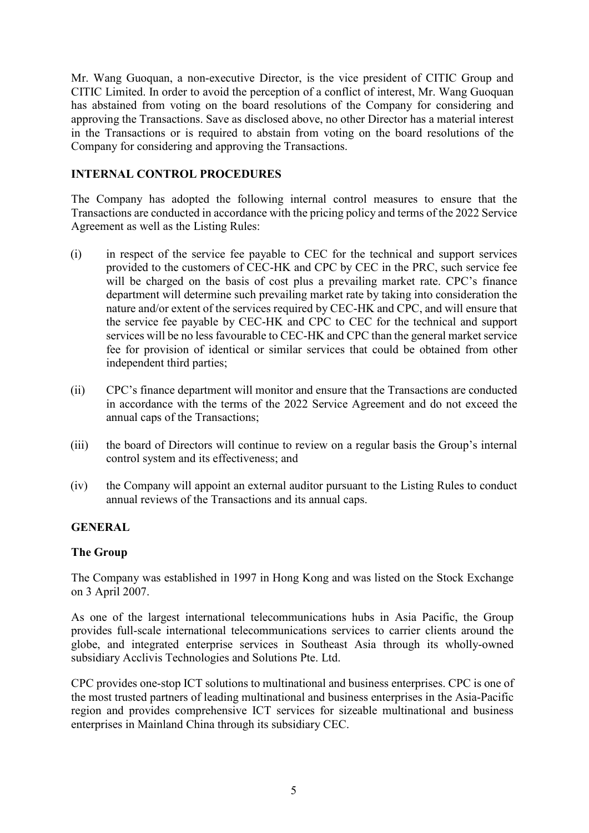Mr. Wang Guoquan, a non-executive Director, is the vice president of CITIC Group and CITIC Limited. In order to avoid the perception of a conflict of interest, Mr. Wang Guoquan has abstained from voting on the board resolutions of the Company for considering and approving the Transactions. Save as disclosed above, no other Director has a material interest in the Transactions or is required to abstain from voting on the board resolutions of the Company for considering and approving the Transactions.

## **INTERNAL CONTROL PROCEDURES**

The Company has adopted the following internal control measures to ensure that the Transactions are conducted in accordance with the pricing policy and terms of the 2022 Service Agreement as well as the Listing Rules:

- (i) in respect of the service fee payable to CEC for the technical and support services provided to the customers of CEC-HK and CPC by CEC in the PRC, such service fee will be charged on the basis of cost plus a prevailing market rate. CPC's finance department will determine such prevailing market rate by taking into consideration the nature and/or extent of the services required by CEC-HK and CPC, and will ensure that the service fee payable by CEC-HK and CPC to CEC for the technical and support services will be no less favourable to CEC-HK and CPC than the general market service fee for provision of identical or similar services that could be obtained from other independent third parties;
- (ii) CPC's finance department will monitor and ensure that the Transactions are conducted in accordance with the terms of the 2022 Service Agreement and do not exceed the annual caps of the Transactions;
- (iii) the board of Directors will continue to review on a regular basis the Group's internal control system and its effectiveness; and
- (iv) the Company will appoint an external auditor pursuant to the Listing Rules to conduct annual reviews of the Transactions and its annual caps.

## **GENERAL**

#### **The Group**

The Company was established in 1997 in Hong Kong and was listed on the Stock Exchange on 3 April 2007.

As one of the largest international telecommunications hubs in Asia Pacific, the Group provides full-scale international telecommunications services to carrier clients around the globe, and integrated enterprise services in Southeast Asia through its wholly-owned subsidiary Acclivis Technologies and Solutions Pte. Ltd.

CPC provides one-stop ICT solutions to multinational and business enterprises. CPC is one of the most trusted partners of leading multinational and business enterprises in the Asia-Pacific region and provides comprehensive ICT services for sizeable multinational and business enterprises in Mainland China through its subsidiary CEC.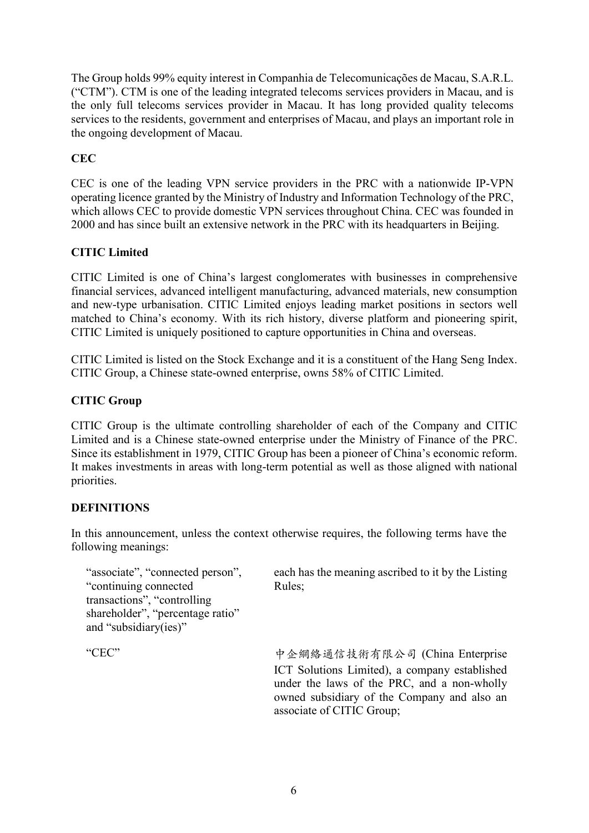The Group holds 99% equity interest in Companhia de Telecomunicações de Macau, S.A.R.L. ("CTM"). CTM is one of the leading integrated telecoms services providers in Macau, and is the only full telecoms services provider in Macau. It has long provided quality telecoms services to the residents, government and enterprises of Macau, and plays an important role in the ongoing development of Macau.

# **CEC**

CEC is one of the leading VPN service providers in the PRC with a nationwide IP-VPN operating licence granted by the Ministry of Industry and Information Technology of the PRC, which allows CEC to provide domestic VPN services throughout China. CEC was founded in 2000 and has since built an extensive network in the PRC with its headquarters in Beijing.

# **CITIC Limited**

CITIC Limited is one of China's largest conglomerates with businesses in comprehensive financial services, advanced intelligent manufacturing, advanced materials, new consumption and new-type urbanisation. CITIC Limited enjoys leading market positions in sectors well matched to China's economy. With its rich history, diverse platform and pioneering spirit, CITIC Limited is uniquely positioned to capture opportunities in China and overseas.

CITIC Limited is listed on the Stock Exchange and it is a constituent of the Hang Seng Index. CITIC Group, a Chinese state-owned enterprise, owns 58% of CITIC Limited.

## **CITIC Group**

CITIC Group is the ultimate controlling shareholder of each of the Company and CITIC Limited and is a Chinese state-owned enterprise under the Ministry of Finance of the PRC. Since its establishment in 1979, CITIC Group has been a pioneer of China's economic reform. It makes investments in areas with long-term potential as well as those aligned with national priorities.

## **DEFINITIONS**

In this announcement, unless the context otherwise requires, the following terms have the following meanings:

"associate", "connected person", "continuing connected transactions", "controlling shareholder", "percentage ratio" and "subsidiary(ies)" each has the meaning ascribed to it by the Listing Rules; "CEC" 中企網絡通信技術有限公司 (China Enterprise ICT Solutions Limited), a company established under the laws of the PRC, and a non-wholly owned subsidiary of the Company and also an

associate of CITIC Group;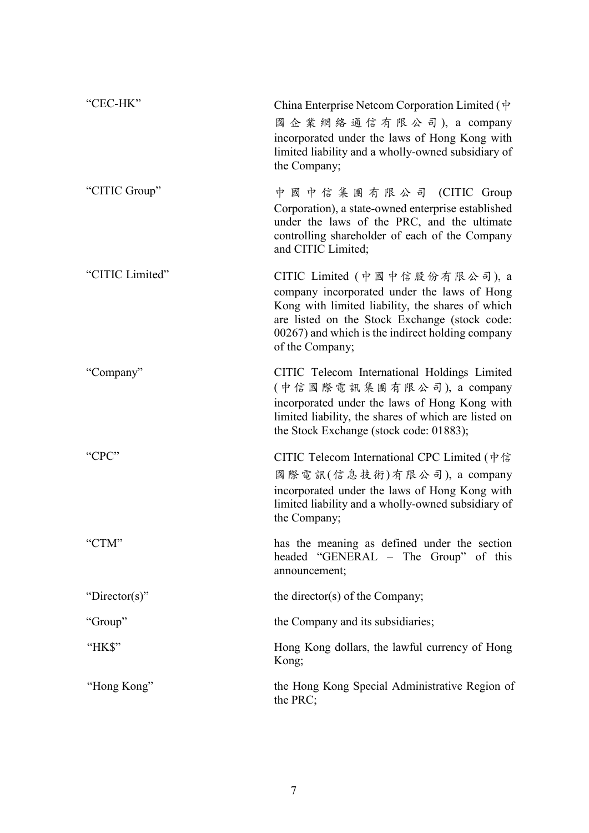| "CEC-HK"        | China Enterprise Netcom Corporation Limited $(\psi)$<br>國企業網絡通信有限公司), a company<br>incorporated under the laws of Hong Kong with<br>limited liability and a wholly-owned subsidiary of<br>the Company;                                                   |
|-----------------|----------------------------------------------------------------------------------------------------------------------------------------------------------------------------------------------------------------------------------------------------------|
| "CITIC Group"   | 中 國 中 信 集 團 有 限 公 司 (CITIC Group<br>Corporation), a state-owned enterprise established<br>under the laws of the PRC, and the ultimate<br>controlling shareholder of each of the Company<br>and CITIC Limited;                                            |
| "CITIC Limited" | CITIC Limited (中國中信股份有限公司), a<br>company incorporated under the laws of Hong<br>Kong with limited liability, the shares of which<br>are listed on the Stock Exchange (stock code:<br>00267) and which is the indirect holding company<br>of the Company; |
| "Company"       | CITIC Telecom International Holdings Limited<br>(中信國際電訊集團有限公司), a company<br>incorporated under the laws of Hong Kong with<br>limited liability, the shares of which are listed on<br>the Stock Exchange (stock code: 01883);                            |
| "CPC"           | CITIC Telecom International CPC Limited (中信<br>國際電訊(信息技術)有限公司), a company<br>incorporated under the laws of Hong Kong with<br>limited liability and a wholly-owned subsidiary of<br>the Company;                                                         |
| "CTM"           | has the meaning as defined under the section<br>headed "GENERAL – The Group" of this<br>announcement;                                                                                                                                                    |
| "Director(s)"   | the director(s) of the Company;                                                                                                                                                                                                                          |
| "Group"         | the Company and its subsidiaries;                                                                                                                                                                                                                        |
| "HK\$"          | Hong Kong dollars, the lawful currency of Hong<br>Kong;                                                                                                                                                                                                  |
| "Hong Kong"     | the Hong Kong Special Administrative Region of<br>the PRC;                                                                                                                                                                                               |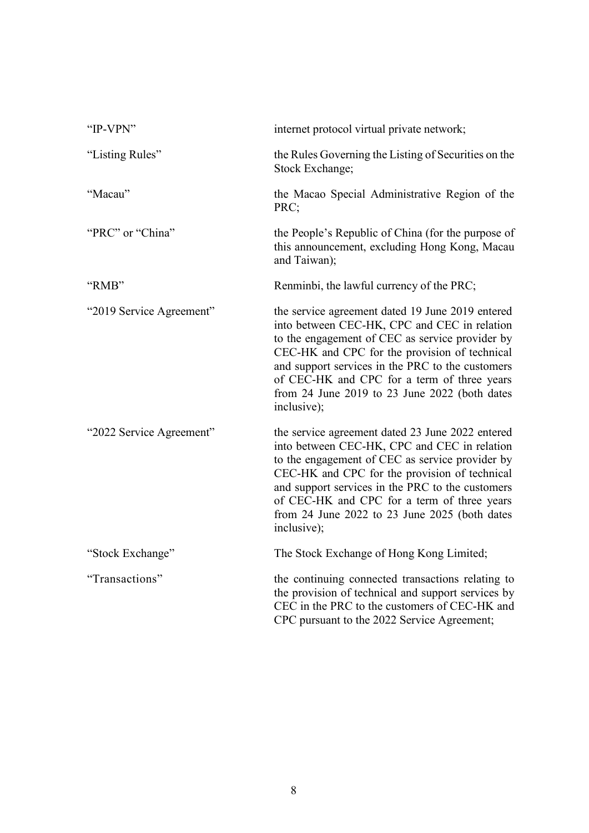| "IP-VPN"                 | internet protocol virtual private network;                                                                                                                                                                                                                                                                                                                              |
|--------------------------|-------------------------------------------------------------------------------------------------------------------------------------------------------------------------------------------------------------------------------------------------------------------------------------------------------------------------------------------------------------------------|
| "Listing Rules"          | the Rules Governing the Listing of Securities on the<br>Stock Exchange;                                                                                                                                                                                                                                                                                                 |
| "Macau"                  | the Macao Special Administrative Region of the<br>PRC;                                                                                                                                                                                                                                                                                                                  |
| "PRC" or "China"         | the People's Republic of China (for the purpose of<br>this announcement, excluding Hong Kong, Macau<br>and Taiwan);                                                                                                                                                                                                                                                     |
| "RMB"                    | Renminbi, the lawful currency of the PRC;                                                                                                                                                                                                                                                                                                                               |
| "2019 Service Agreement" | the service agreement dated 19 June 2019 entered<br>into between CEC-HK, CPC and CEC in relation<br>to the engagement of CEC as service provider by<br>CEC-HK and CPC for the provision of technical<br>and support services in the PRC to the customers<br>of CEC-HK and CPC for a term of three years<br>from 24 June 2019 to 23 June 2022 (both dates<br>inclusive); |
| "2022 Service Agreement" | the service agreement dated 23 June 2022 entered<br>into between CEC-HK, CPC and CEC in relation<br>to the engagement of CEC as service provider by<br>CEC-HK and CPC for the provision of technical<br>and support services in the PRC to the customers<br>of CEC-HK and CPC for a term of three years<br>from 24 June 2022 to 23 June 2025 (both dates<br>inclusive); |
| "Stock Exchange"         | The Stock Exchange of Hong Kong Limited;                                                                                                                                                                                                                                                                                                                                |
| "Transactions"           | the continuing connected transactions relating to<br>the provision of technical and support services by<br>CEC in the PRC to the customers of CEC-HK and<br>CPC pursuant to the 2022 Service Agreement;                                                                                                                                                                 |